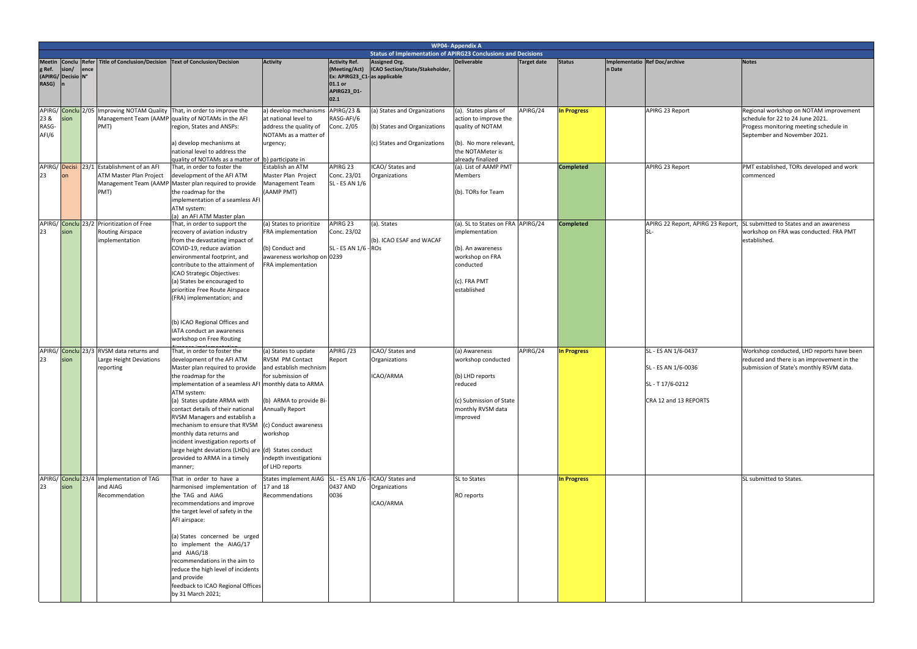|                                  |                                             |      |                                                                                             |                                                                                                                                                                                                                                                                                                                                                                                                                                                                                                                 |                                                                                                                                                                                                                                     |                                                                                                         |                                                                                                                                   | <b>WP04- Appendix A</b>                                                                                                                                                                               |                    |                                 |        |                                                                                      |                                                                                                                                                                                                               |
|----------------------------------|---------------------------------------------|------|---------------------------------------------------------------------------------------------|-----------------------------------------------------------------------------------------------------------------------------------------------------------------------------------------------------------------------------------------------------------------------------------------------------------------------------------------------------------------------------------------------------------------------------------------------------------------------------------------------------------------|-------------------------------------------------------------------------------------------------------------------------------------------------------------------------------------------------------------------------------------|---------------------------------------------------------------------------------------------------------|-----------------------------------------------------------------------------------------------------------------------------------|-------------------------------------------------------------------------------------------------------------------------------------------------------------------------------------------------------|--------------------|---------------------------------|--------|--------------------------------------------------------------------------------------|---------------------------------------------------------------------------------------------------------------------------------------------------------------------------------------------------------------|
|                                  |                                             |      |                                                                                             |                                                                                                                                                                                                                                                                                                                                                                                                                                                                                                                 |                                                                                                                                                                                                                                     |                                                                                                         | <b>Status of Implementation of APIRG23 Conclusions and Decisions</b>                                                              |                                                                                                                                                                                                       |                    |                                 |        |                                                                                      |                                                                                                                                                                                                               |
| <b>Meetin</b><br>g Ref.<br>RASG) | Conclu Refer<br>sion/<br>(APIRG/ Decisio N° | ence | <b>Title of Conclusion/Decision</b>                                                         | <b>Fext of Conclusion/Decision</b>                                                                                                                                                                                                                                                                                                                                                                                                                                                                              | <b>Activity</b>                                                                                                                                                                                                                     | <b>Activity Ref.</b><br>(Meeting/Act)<br>Ex: APIRG23_C1-as applicable<br>01.1 or<br>APIRG23_D1-<br>02.1 | Assigned Org.<br>ICAO Section/State/Stakeholder,                                                                                  | <b>Deliverable</b>                                                                                                                                                                                    | <b>Target date</b> | <b>Status</b>                   | n Date | Implementatio Ref Doc/archive                                                        | <b>Notes</b>                                                                                                                                                                                                  |
| 23 &<br>RASG-<br>AFI/6<br>23     | sion                                        |      | PMT)<br>APIRG/Decisi 23/1 Establishment of an AFI<br><b>ATM Master Plan Project</b><br>PMT) | APIRG/ Conclu 2/05   Improving NOTAM Quality That, in order to improve the<br>Management Team (AAMP quality of NOTAMs in the AFI<br>region, States and ANSPs:<br>a) develop mechanisms at<br>national level to address the<br>quality of NOTAMs as a matter of b) participate in<br>That, in order to foster the<br>development of the AFI ATM<br>Management Team (AAMP Master plan required to provide<br>the roadmap for the<br>implementation of a seamless AFI<br>ATM system:<br>(a) an AFI ATM Master plan | a) develop mechanisms<br>at national level to<br>address the quality of<br>NOTAMs as a matter of<br>urgency;<br>Establish an ATM<br>Master Plan Project<br>Management Team<br>(AAMP PMT)                                            | <b>APIRG/23 &amp;</b><br>RASG-AFI/6<br>Conc. 2/05<br>APIRG 23<br>Conc. 23/01<br>SL - ES AN 1/6          | (a) States and Organizations<br>(b) States and Organizations<br>(c) States and Organizations<br>ICAO/ States and<br>Organizations | (a). States plans of<br>action to improve the<br>quality of NOTAM<br>(b). No more relevant,<br>the NOTAMeter is<br>already finalized<br>(a). List of AAMP PMT<br><b>Members</b><br>(b). TORs for Team | APIRG/24           | In Progress<br><b>Completed</b> |        | APIRG 23 Report<br>APIRG 23 Report                                                   | Regional workshop on NOTAM improvement<br>schedule for 22 to 24 June 2021.<br>Progess monitoring meeting schedule in<br>September and November 2021.<br>PMT established, TORs developed and work<br>commenced |
| 23                               | sion                                        |      | APIRG/ Conclu 23/2 Prioritization of Free<br>Routing Airspace<br>implementation             | That, in order to support the<br>recovery of aviation industry<br>from the devastating impact of<br>COVID-19, reduce aviation<br>environmental footprint, and<br>contribute to the attainment of<br>ICAO Strategic Objectives:<br>(a) States be encouraged to<br>prioritize Free Route Airspace<br>(FRA) implementation; and<br>(b) ICAO Regional Offices and<br>IATA conduct an awareness<br>workshop on Free Routing                                                                                          | (a) States to prioritize<br><b>FRA</b> implementation<br>(b) Conduct and<br>awareness workshop on 0239<br>FRA implementation                                                                                                        | APIRG 23<br>Conc. 23/02<br>SL - ES AN 1/6 - ROS                                                         | (a). States<br>(b). ICAO ESAF and WACAF                                                                                           | (a). SL to States on FRA APIRG/24<br>implementation<br>(b). An awareness<br>workshop on FRA<br>conducted<br>(c). FRA PMT<br>established                                                               |                    | <b>Completed</b>                |        | <b>SL</b>                                                                            | APIRG 22 Report, APIRG 23 Report, SL submitted to States and an awareness<br>workshop on FRA was conducted. FRA PMT<br>established.                                                                           |
| 23                               | sion                                        |      | APIRG/ Conclu 23/3 RVSM data returns and<br>Large Height Deviations<br>reporting            | That, in order to foster the<br>development of the AFI ATM<br>Master plan required to provide<br>the roadmap for the<br>implementation of a seamless AFI monthly data to ARMA<br>ATM system:<br>(a) States update ARMA with<br>contact details of their national<br>RVSM Managers and establish a<br>mechanism to ensure that RVSM<br>monthly data returns and<br>incident investigation reports of<br>large height deviations (LHDs) are (d) States conduct<br>provided to ARMA in a timely<br>manner;         | (a) States to update<br><b>RVSM PM Contact</b><br>and establish mechnism<br>for submission of<br>(b) ARMA to provide Bi-<br><b>Annually Report</b><br>(c) Conduct awareness<br>workshop<br>indepth investigations<br>of LHD reports | APIRG/23<br>Report                                                                                      | ICAO/ States and<br>Organizations<br>ICAO/ARMA                                                                                    | (a) Awareness<br>workshop conducted<br>(b) LHD reports<br>reduced<br>(c) Submission of State<br>monthly RVSM data<br>improved                                                                         | APIRG/24           | <b>In Progress</b>              |        | SL - ES AN 1/6-0437<br>SL - ES AN 1/6-0036<br>SL-T17/6-0212<br>CRA 12 and 13 REPORTS | Workshop conducted, LHD reports have been<br>reduced and there is an improvement in the<br>submission of State's monthly RSVM data.                                                                           |
| 23                               | sion                                        |      | APIRG/ Conclu 23/4 Implementation of TAG<br>and AIAG<br>Recommendation                      | That in order to have a<br>harmonised implementation of<br>the TAG and AIAG<br>recommendations and improve<br>the target level of safety in the<br>AFI airspace:<br>(a) States concerned be urged<br>to implement the AIAG/17<br>and AIAG/18<br>recommendations in the aim to<br>reduce the high level of incidents<br>and provide<br>feedback to ICAO Regional Offices<br>by 31 March 2021;                                                                                                                    | States implement AIAG   SL - ES AN 1/6 - ICAO/ States and<br>17 and 18<br>Recommendations                                                                                                                                           | 0437 AND<br>0036                                                                                        | Organizations<br>ICAO/ARMA                                                                                                        | SL to States<br>RO reports                                                                                                                                                                            |                    | <b>In Progress</b>              |        |                                                                                      | SL submitted to States.                                                                                                                                                                                       |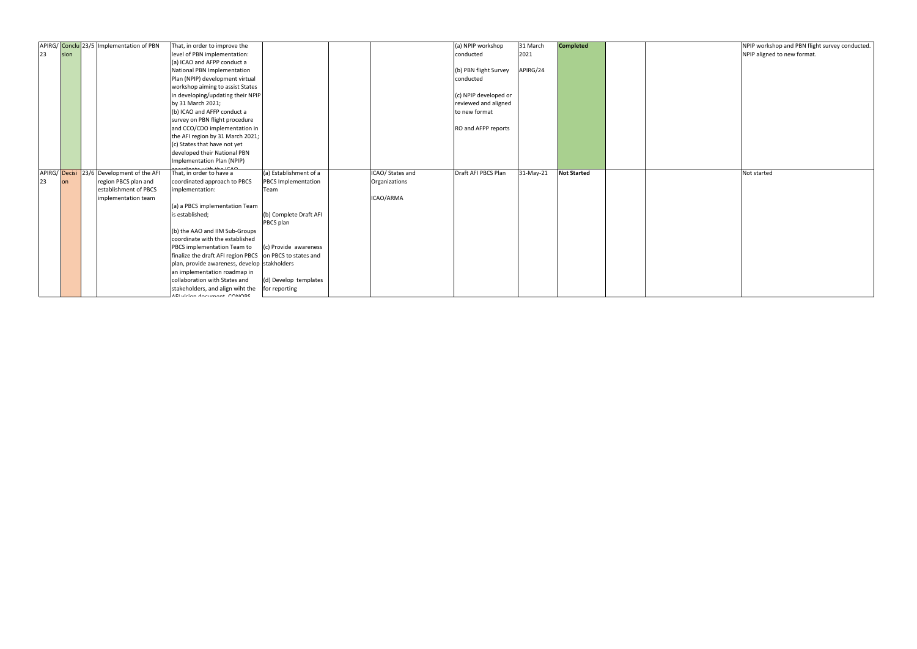| <b>Completed</b>   |  | NPIP workshop and PBN flight survey conducted. |
|--------------------|--|------------------------------------------------|
|                    |  | NPIP aligned to new format.                    |
|                    |  |                                                |
|                    |  |                                                |
|                    |  |                                                |
|                    |  |                                                |
|                    |  |                                                |
|                    |  |                                                |
|                    |  |                                                |
|                    |  |                                                |
|                    |  |                                                |
|                    |  |                                                |
|                    |  |                                                |
|                    |  |                                                |
|                    |  |                                                |
|                    |  |                                                |
|                    |  |                                                |
|                    |  |                                                |
|                    |  |                                                |
|                    |  |                                                |
|                    |  |                                                |
|                    |  | Not started                                    |
| <b>Not Started</b> |  |                                                |
|                    |  |                                                |
|                    |  |                                                |
|                    |  |                                                |
|                    |  |                                                |
|                    |  |                                                |
|                    |  |                                                |
|                    |  |                                                |
|                    |  |                                                |
|                    |  |                                                |
|                    |  |                                                |
|                    |  |                                                |
|                    |  |                                                |
|                    |  |                                                |
|                    |  |                                                |
|                    |  |                                                |

|    |      | APIRG/ Conclu 23/5 Implementation of PBN  | That, in order to improve the                |                            |                  | (a) NPIP workshop     | 31 March  | <b>Completed</b>   | NPIP works  |
|----|------|-------------------------------------------|----------------------------------------------|----------------------------|------------------|-----------------------|-----------|--------------------|-------------|
| 23 | sion |                                           | level of PBN implementation:                 |                            |                  | conducted             | 2021      |                    | NPIP aligne |
|    |      |                                           | (a) ICAO and AFPP conduct a                  |                            |                  |                       |           |                    |             |
|    |      |                                           | National PBN Implementation                  |                            |                  | (b) PBN flight Survey | APIRG/24  |                    |             |
|    |      |                                           | Plan (NPIP) development virtual              |                            |                  | conducted             |           |                    |             |
|    |      |                                           | workshop aiming to assist States             |                            |                  |                       |           |                    |             |
|    |      |                                           | in developing/updating their NPIP            |                            |                  | (c) NPIP developed or |           |                    |             |
|    |      |                                           | by 31 March 2021;                            |                            |                  | reviewed and aligned  |           |                    |             |
|    |      |                                           | (b) ICAO and AFFP conduct a                  |                            |                  | to new format         |           |                    |             |
|    |      |                                           | survey on PBN flight procedure               |                            |                  |                       |           |                    |             |
|    |      |                                           | and CCO/CDO implementation in                |                            |                  | RO and AFPP reports   |           |                    |             |
|    |      |                                           | the AFI region by 31 March 2021;             |                            |                  |                       |           |                    |             |
|    |      |                                           | (c) States that have not yet                 |                            |                  |                       |           |                    |             |
|    |      |                                           | developed their National PBN                 |                            |                  |                       |           |                    |             |
|    |      |                                           | Implementation Plan (NPIP)                   |                            |                  |                       |           |                    |             |
|    |      | APIRG/ Decisi 23/6 Development of the AFI | That, in order to have a                     | (a) Establishment of a     | ICAO/ States and | Draft AFI PBCS Plan   | 31-May-21 | <b>Not Started</b> | Not started |
| 23 |      | region PBCS plan and                      | coordinated approach to PBCS                 | <b>PBCS Implementation</b> | Organizations    |                       |           |                    |             |
|    |      | establishment of PBCS                     | implementation:                              | Team                       |                  |                       |           |                    |             |
|    |      | implementation team                       |                                              |                            | ICAO/ARMA        |                       |           |                    |             |
|    |      |                                           | (a) a PBCS implementation Team               |                            |                  |                       |           |                    |             |
|    |      |                                           | is established;                              | (b) Complete Draft AFI     |                  |                       |           |                    |             |
|    |      |                                           |                                              | PBCS plan                  |                  |                       |           |                    |             |
|    |      |                                           | (b) the AAO and IIM Sub-Groups               |                            |                  |                       |           |                    |             |
|    |      |                                           | coordinate with the established              |                            |                  |                       |           |                    |             |
|    |      |                                           | PBCS implementation Team to                  | (c) Provide awareness      |                  |                       |           |                    |             |
|    |      |                                           | finalize the draft AFI region PBCS           | on PBCS to states and      |                  |                       |           |                    |             |
|    |      |                                           | plan, provide awareness, develop stakholders |                            |                  |                       |           |                    |             |
|    |      |                                           | an implementation roadmap in                 |                            |                  |                       |           |                    |             |
|    |      |                                           | collaboration with States and                | (d) Develop templates      |                  |                       |           |                    |             |
|    |      |                                           | stakeholders, and align wiht the             | for reporting              |                  |                       |           |                    |             |
|    |      |                                           | IFLuisian daoimeant CONODC                   |                            |                  |                       |           |                    |             |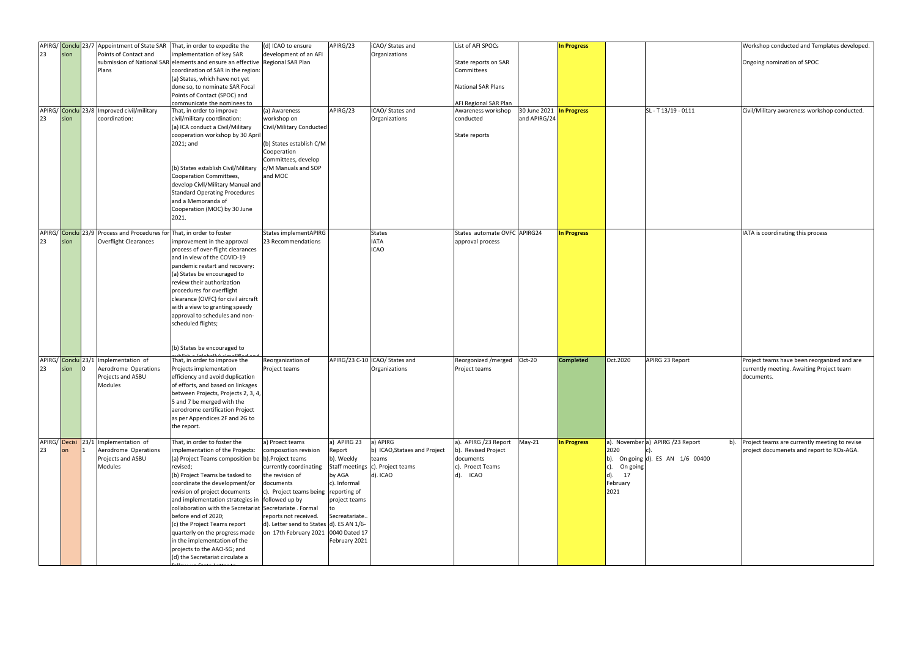| APIRG/ Conclu 23/7<br>23<br>23 | sion<br>sion | Appointment of State SAR<br>Points of Contact and<br>Plans<br>APIRG/ Conclu 23/8 Improved civil/military<br>coordination: | That, in order to expedite the<br>implementation of key SAR<br>submission of National SAR elements and ensure an effective Regional SAR Plan<br>coordination of SAR in the region:<br>(a) States, which have not yet<br>done so, to nominate SAR Focal<br>Points of Contact (SPOC) and<br>communicate the nominees to<br>That, in order to improve<br>civil/military coordination:                                                                                                                                                              | (d) ICAO to ensure<br>development of an AFI<br>(a) Awareness<br>workshop on                                                                                                                                                                           | APIRG/23<br>APIRG/23                                                                                             | iCAO/ States and<br>Organizations<br>ICAO/ States and<br>Organizations                            | List of AFI SPOCs<br>State reports on SAR<br>Committees<br><b>National SAR Plans</b><br>AFI Regional SAR Plan<br>Awareness workshop<br>conducted | 30 June 2021 In Progress<br>and APIRG/24 | <b>In Progress</b> |                                                           | SL - T13/19 - 0111                                                     | Workshop conducted and Templates developed.<br>Ongoing nomination of SPOC<br>Civil/Military awareness workshop conducted. |
|--------------------------------|--------------|---------------------------------------------------------------------------------------------------------------------------|-------------------------------------------------------------------------------------------------------------------------------------------------------------------------------------------------------------------------------------------------------------------------------------------------------------------------------------------------------------------------------------------------------------------------------------------------------------------------------------------------------------------------------------------------|-------------------------------------------------------------------------------------------------------------------------------------------------------------------------------------------------------------------------------------------------------|------------------------------------------------------------------------------------------------------------------|---------------------------------------------------------------------------------------------------|--------------------------------------------------------------------------------------------------------------------------------------------------|------------------------------------------|--------------------|-----------------------------------------------------------|------------------------------------------------------------------------|---------------------------------------------------------------------------------------------------------------------------|
|                                |              |                                                                                                                           | (a) ICA conduct a Civil/Military<br>cooperation workshop by 30 April<br>2021; and<br>(b) States establish Civil/Military<br>Cooperation Committees,<br>develop Civll/Military Manual and<br><b>Standard Operating Procedures</b><br>and a Memoranda of<br>Cooperation (MOC) by 30 June<br>2021.                                                                                                                                                                                                                                                 | Civil/Military Conducted<br>(b) States establish C/M<br>Cooperation<br>Committees, develop<br>c/M Manuals and SOP<br>and MOC                                                                                                                          |                                                                                                                  |                                                                                                   | State reports                                                                                                                                    |                                          |                    |                                                           |                                                                        |                                                                                                                           |
| 23                             | sion         | APIRG/ Conclu 23/9 Process and Procedures for That, in order to foster<br><b>Overflight Clearances</b>                    | improvement in the approval<br>process of over-flight clearances<br>and in view of the COVID-19<br>pandemic restart and recovery:<br>(a) States be encouraged to<br>review their authorization<br>procedures for overflight<br>clearance (OVFC) for civil aircraft<br>with a view to granting speedy<br>approval to schedules and non-<br>scheduled flights;<br>(b) States be encouraged to                                                                                                                                                     | States implementAPIRG<br>23 Recommendations                                                                                                                                                                                                           |                                                                                                                  | <b>States</b><br><b>IATA</b><br><b>ICAO</b>                                                       | States automate OVFC APIRG24<br>approval process                                                                                                 |                                          | <b>In Progress</b> |                                                           |                                                                        | IATA is coordinating this process                                                                                         |
| 23                             | sion         | APIRG/ Conclu 23/1 Implementation of<br>Aerodrome Operations<br>Projects and ASBU<br>Modules                              | That, in order to improve the<br>Projects implementation<br>efficiency and avoid duplication<br>of efforts, and based on linkages<br>between Projects, Projects 2, 3, 4,<br>5 and 7 be merged with the<br>aerodrome certification Project<br>as per Appendices 2F and 2G to<br>the report.                                                                                                                                                                                                                                                      | Reorganization of<br>Project teams                                                                                                                                                                                                                    |                                                                                                                  | APIRG/23 C-10 ICAO/ States and<br>Organizations                                                   | Reorgonized / merged<br>Project teams                                                                                                            | Oct-20                                   | <b>Completed</b>   | Oct.2020                                                  | APIRG 23 Report                                                        | Project teams have been reorganized and are<br>currently meeting. Awaiting Project team<br>documents.                     |
| 23                             | on           | APIRG/ Decisi 23/1 Implementation of<br>Aerodrome Operations<br>Projects and ASBU<br>Modules                              | That, in order to foster the<br>implementation of the Projects:<br>(a) Project Teams composition be b). Project teams<br>revised;<br>(b) Project Teams be tasked to<br>coordinate the development/or<br>revision of project documents<br>and implementation strategies in followed up by<br>collaboration with the Secretariat Secretariate . Formal<br>before end of 2020;<br>(c) the Project Teams report<br>quarterly on the progress made<br>in the implementation of the<br>projects to the AAO-SG; and<br>(d) the Secretariat circulate a | a) Proect teams<br>composotion revision<br>currently coordinating<br>the revision of<br>documents<br>c). Project teams being reporting of<br>reports not received.<br>d). Letter send to States d). ES AN 1/6-<br>on 17th February 2021 0040 Dated 17 | a) APIRG 23<br>Report<br>b). Weekly<br>by AGA<br>c). Informal<br>project teams<br>Secreatariate<br>February 2021 | a) APIRG<br>b) ICAO, Stataes and Project<br>teams<br>Staff meetings c). Project teams<br>d). ICAO | a). APIRG /23 Report<br>b). Revised Project<br>documents<br>c). Proect Teams<br>d). ICAO                                                         | May-21                                   | In Progress        | 2020<br>c). On going<br>17<br>$(d)$ .<br>February<br>2021 | a). Novembera) APIRG / 23 Report<br>b). On going d). ES AN $1/6$ 00400 | b). Project teams are currently meeting to revise<br>project documenets and report to ROs-AGA.                            |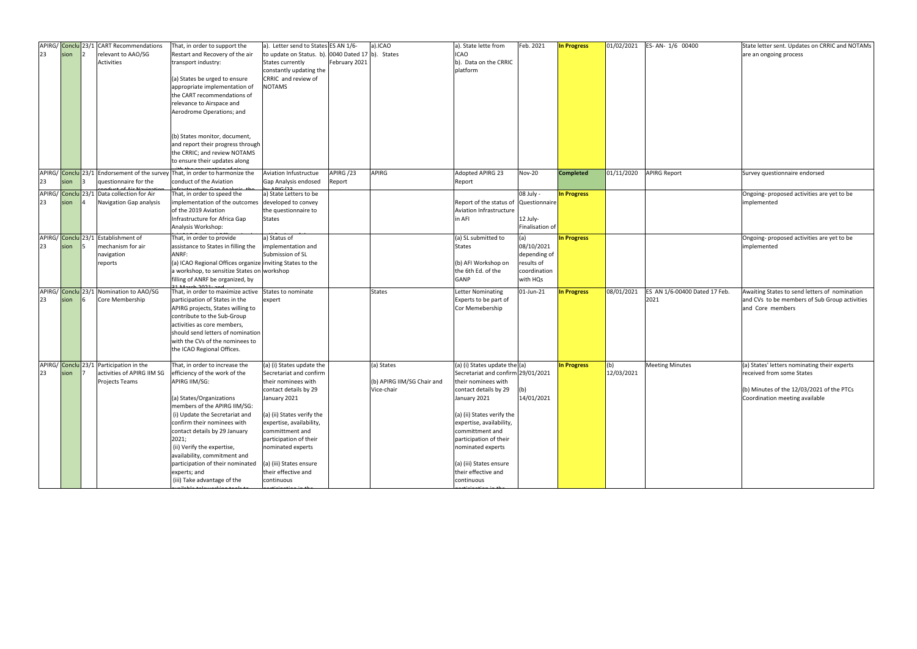|                    |      | APIRG/ Conclu 23/1 CART Recommendations | That, in order to support the                                                | a). Letter send to States ES AN 1/6-              |               | a).ICAO                    | a). State lette from                  | Feb. 2021       | <b>In Progress</b> | 01/02/2021 | ES-AN-1/6 00400               | State letter sent. Updates on CRRIC and NOTAMs |
|--------------------|------|-----------------------------------------|------------------------------------------------------------------------------|---------------------------------------------------|---------------|----------------------------|---------------------------------------|-----------------|--------------------|------------|-------------------------------|------------------------------------------------|
| 23                 | sion | relevant to AAO/SG                      | Restart and Recovery of the air                                              | to update on Status. b). 0040 Dated 17 b). States |               |                            | <b>ICAO</b>                           |                 |                    |            |                               | are an ongoing process                         |
|                    |      | Activities                              | transport industry:                                                          | <b>States currently</b>                           | February 2021 |                            | b). Data on the CRRIC                 |                 |                    |            |                               |                                                |
|                    |      |                                         |                                                                              | constantly updating the                           |               |                            | platform                              |                 |                    |            |                               |                                                |
|                    |      |                                         |                                                                              | CRRIC and review of                               |               |                            |                                       |                 |                    |            |                               |                                                |
|                    |      |                                         | (a) States be urged to ensure                                                |                                                   |               |                            |                                       |                 |                    |            |                               |                                                |
|                    |      |                                         | appropriate implementation of                                                | <b>NOTAMS</b>                                     |               |                            |                                       |                 |                    |            |                               |                                                |
|                    |      |                                         | the CART recommendations of                                                  |                                                   |               |                            |                                       |                 |                    |            |                               |                                                |
|                    |      |                                         | relevance to Airspace and                                                    |                                                   |               |                            |                                       |                 |                    |            |                               |                                                |
|                    |      |                                         | Aerodrome Operations; and                                                    |                                                   |               |                            |                                       |                 |                    |            |                               |                                                |
|                    |      |                                         |                                                                              |                                                   |               |                            |                                       |                 |                    |            |                               |                                                |
|                    |      |                                         |                                                                              |                                                   |               |                            |                                       |                 |                    |            |                               |                                                |
|                    |      |                                         | (b) States monitor, document,                                                |                                                   |               |                            |                                       |                 |                    |            |                               |                                                |
|                    |      |                                         | and report their progress through                                            |                                                   |               |                            |                                       |                 |                    |            |                               |                                                |
|                    |      |                                         | the CRRIC; and review NOTAMS                                                 |                                                   |               |                            |                                       |                 |                    |            |                               |                                                |
|                    |      |                                         | to ensure their updates along                                                |                                                   |               |                            |                                       |                 |                    |            |                               |                                                |
|                    |      |                                         | APIRG/ Conclu 23/1 Endorsement of the survey That, in order to harmonize the | Aviation Infustructue                             | APIRG/23      | <b>APIRG</b>               | Adopted APIRG 23                      | <b>Nov-20</b>   | <b>Completed</b>   | 01/11/2020 | <b>APIRG Report</b>           | Survey questionnaire endorsed                  |
| 23                 |      | questionnaire for the                   | conduct of the Aviation                                                      | Gap Analysis endosed                              |               |                            |                                       |                 |                    |            |                               |                                                |
|                    | sion |                                         |                                                                              |                                                   | Report        |                            | Report                                |                 |                    |            |                               |                                                |
| APIRG/ Conclu 23/1 |      | Data collection for Air                 | That, in order to speed the                                                  | a) State Letters to be                            |               |                            |                                       | 08 July -       | <b>In Progress</b> |            |                               | Ongoing-proposed activities are yet to be      |
| 23                 | sion | Navigation Gap analysis                 | implementation of the outcomes                                               | developed to convey                               |               |                            | Report of the status of Questionnaire |                 |                    |            |                               | implemented                                    |
|                    |      |                                         | of the 2019 Aviation                                                         | the questionnaire to                              |               |                            | Aviation Infrastructure               |                 |                    |            |                               |                                                |
|                    |      |                                         | Infrastructure for Africa Gap                                                | <b>States</b>                                     |               |                            | in AFI                                | 12 July-        |                    |            |                               |                                                |
|                    |      |                                         | Analysis Workshop:                                                           |                                                   |               |                            |                                       | Finalisation of |                    |            |                               |                                                |
|                    |      | APIRG/ Conclu 23/1 Establishment of     | That, in order to provide                                                    |                                                   |               |                            |                                       |                 |                    |            |                               |                                                |
|                    |      |                                         |                                                                              | a) Status of                                      |               |                            | (a) SL submitted to                   | (a)             | <b>In Progress</b> |            |                               | Ongoing-proposed activities are yet to be      |
| 23                 | sion | mechanism for air                       | assistance to States in filling the                                          | implementation and                                |               |                            | States                                | 08/10/2021      |                    |            |                               | implemented                                    |
|                    |      | navigation                              | ANRF:                                                                        | Submission of SL                                  |               |                            |                                       | depending of    |                    |            |                               |                                                |
|                    |      | reports                                 | (a) ICAO Regional Offices organize inviting States to the                    |                                                   |               |                            | (b) AFI Workshop on                   | results of      |                    |            |                               |                                                |
|                    |      |                                         | a workshop, to sensitize States on workshop                                  |                                                   |               |                            | the 6th Ed. of the                    | coordination    |                    |            |                               |                                                |
|                    |      |                                         | filling of ANRF be organized, by                                             |                                                   |               |                            | GANP                                  | with HQs        |                    |            |                               |                                                |
|                    |      | APIRG/ Conclu 23/1 Nomination to AAO/SG | That, in order to maximize active                                            | States to nominate                                |               | <b>States</b>              | <b>Letter Nominating</b>              | 01-Jun-21       | In Progress        | 08/01/2021 | ES AN 1/6-00400 Dated 17 Feb. | Awaiting States to send letters of nomination  |
| 23                 | sion | Core Membership                         | participation of States in the                                               | expert                                            |               |                            | Experts to be part of                 |                 |                    |            | 2021                          | and CVs to be members of Sub Group activities  |
|                    |      |                                         | APIRG projects, States willing to                                            |                                                   |               |                            | Cor Memebership                       |                 |                    |            |                               | and Core members                               |
|                    |      |                                         | contribute to the Sub-Group                                                  |                                                   |               |                            |                                       |                 |                    |            |                               |                                                |
|                    |      |                                         | activities as core members,                                                  |                                                   |               |                            |                                       |                 |                    |            |                               |                                                |
|                    |      |                                         | should send letters of nomination                                            |                                                   |               |                            |                                       |                 |                    |            |                               |                                                |
|                    |      |                                         | with the CVs of the nominees to                                              |                                                   |               |                            |                                       |                 |                    |            |                               |                                                |
|                    |      |                                         | the ICAO Regional Offices.                                                   |                                                   |               |                            |                                       |                 |                    |            |                               |                                                |
|                    |      |                                         |                                                                              |                                                   |               |                            |                                       |                 |                    |            |                               |                                                |
|                    |      | APIRG/ Conclu 23/1 Participation in the | That, in order to increase the                                               | (a) (i) States update the                         |               | (a) States                 | (a) (i) States update the (a)         |                 | In Progress        | (b)        | <b>Meeting Minutes</b>        | (a) States' letters nominating their experts   |
| 23                 | sion | activities of APIRG IIM SG              | efficiency of the work of the                                                | Secretariat and confirm                           |               |                            | Secretariat and confirm 29/01/2021    |                 |                    | 12/03/2021 |                               | received from some States                      |
|                    |      |                                         | APIRG IIM/SG:                                                                |                                                   |               | (b) APIRG IIM/SG Chair and | their nominees with                   |                 |                    |            |                               |                                                |
|                    |      | Projects Teams                          |                                                                              | their nominees with                               |               |                            |                                       |                 |                    |            |                               |                                                |
|                    |      |                                         |                                                                              | contact details by 29                             |               | Vice-chair                 | contact details by 29                 | (b)             |                    |            |                               | (b) Minutes of the 12/03/2021 of the PTCs      |
|                    |      |                                         | (a) States/Organizations                                                     | January 2021                                      |               |                            | January 2021                          | 14/01/2021      |                    |            |                               | Coordination meeting available                 |
|                    |      |                                         | members of the APIRG IIM/SG:                                                 |                                                   |               |                            |                                       |                 |                    |            |                               |                                                |
|                    |      |                                         | (i) Update the Secretariat and                                               | (a) (ii) States verify the                        |               |                            | (a) (ii) States verify the            |                 |                    |            |                               |                                                |
|                    |      |                                         | confirm their nominees with                                                  | expertise, availability,                          |               |                            | expertise, availability,              |                 |                    |            |                               |                                                |
|                    |      |                                         | contact details by 29 January                                                | committment and                                   |               |                            | committment and                       |                 |                    |            |                               |                                                |
|                    |      |                                         | 2021;                                                                        | participation of their                            |               |                            | participation of their                |                 |                    |            |                               |                                                |
|                    |      |                                         | (ii) Verify the expertise,                                                   | nominated experts                                 |               |                            | nominated experts                     |                 |                    |            |                               |                                                |
|                    |      |                                         | availability, commitment and                                                 |                                                   |               |                            |                                       |                 |                    |            |                               |                                                |
|                    |      |                                         | participation of their nominated                                             | (a) (iii) States ensure                           |               |                            | (a) (iii) States ensure               |                 |                    |            |                               |                                                |
|                    |      |                                         | experts; and                                                                 | their effective and                               |               |                            | their effective and                   |                 |                    |            |                               |                                                |
|                    |      |                                         | (iii) Take advantage of the                                                  | continuous                                        |               |                            | continuous                            |                 |                    |            |                               |                                                |
|                    |      |                                         |                                                                              |                                                   |               |                            |                                       |                 |                    |            |                               |                                                |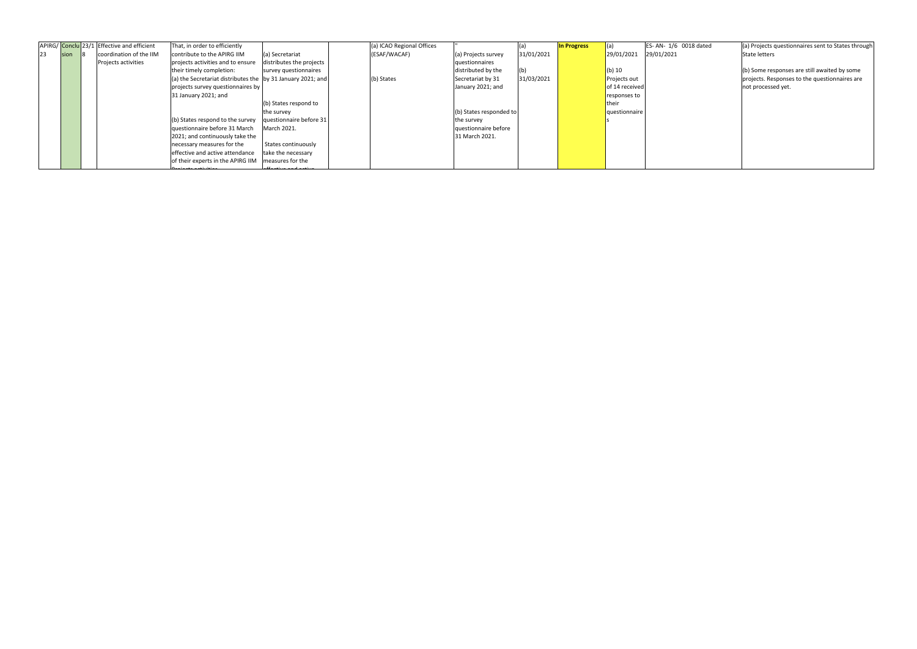|    |      | APIRG/ Conclu 23/1 Effective and efficient | That, in order to efficiently                               |                          | (a) ICAO Regional Offices |                         |            | <b>In Progress</b> | (a)            | ES-AN-1/6 0018 dated | (a) Projects questionnaires sent to States through |
|----|------|--------------------------------------------|-------------------------------------------------------------|--------------------------|---------------------------|-------------------------|------------|--------------------|----------------|----------------------|----------------------------------------------------|
| 23 | sion | coordination of the IIM                    | contribute to the APIRG IIM                                 | (a) Secretariat          | (ESAF/WACAF)              | (a) Projects survey     | 31/01/2021 |                    | 29/01/2021     | 29/01/2021           | <b>State letters</b>                               |
|    |      | Projects activities                        | projects activities and to ensure                           | distributes the projects |                           | questionnaires          |            |                    |                |                      |                                                    |
|    |      |                                            | their timely completion:                                    | survey questionnaires    |                           | distributed by the      | (b)        |                    | $(b)$ 10       |                      | (b) Some responses are still awaited by some       |
|    |      |                                            | (a) the Secretariat distributes the by 31 January 2021; and |                          | (b) States                | Secretariat by 31       | 31/03/2021 |                    | Projects out   |                      | projects. Responses to the questionnaires are      |
|    |      |                                            | projects survey questionnaires by                           |                          |                           | January 2021; and       |            |                    | of 14 received |                      | not processed yet.                                 |
|    |      |                                            | 31 January 2021; and                                        |                          |                           |                         |            |                    | responses to   |                      |                                                    |
|    |      |                                            |                                                             | (b) States respond to    |                           |                         |            |                    | <b>their</b>   |                      |                                                    |
|    |      |                                            |                                                             | the survey               |                           | (b) States responded to |            |                    | questionnaire  |                      |                                                    |
|    |      |                                            | (b) States respond to the survey                            | questionnaire before 31  |                           | the survey              |            |                    |                |                      |                                                    |
|    |      |                                            | questionnaire before 31 March                               | March 2021.              |                           | questionnaire before    |            |                    |                |                      |                                                    |
|    |      |                                            | 2021; and continuously take the                             |                          |                           | 31 March 2021.          |            |                    |                |                      |                                                    |
|    |      |                                            | necessary measures for the                                  | States continuously      |                           |                         |            |                    |                |                      |                                                    |
|    |      |                                            | effective and active attendance                             | take the necessary       |                           |                         |            |                    |                |                      |                                                    |
|    |      |                                            | of their experts in the APIRG IIM   measures for the        |                          |                           |                         |            |                    |                |                      |                                                    |
|    |      |                                            | محافات بالقمام المقمام المعالا                              |                          |                           |                         |            |                    |                |                      |                                                    |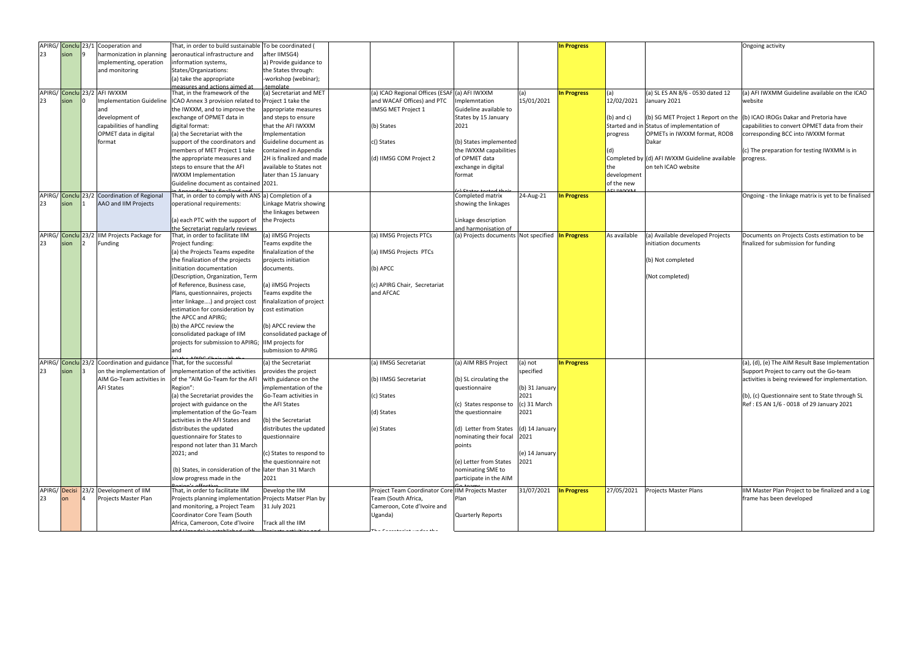|    | APIRG/ Conclu 23/1 | Cooperation and                                                       | That, in order to build sustainable To be coordinated (     |                           |                                                                 |                                      |                        | <b>In Progress</b> |                |                                                | Ongoing activity                                                          |
|----|--------------------|-----------------------------------------------------------------------|-------------------------------------------------------------|---------------------------|-----------------------------------------------------------------|--------------------------------------|------------------------|--------------------|----------------|------------------------------------------------|---------------------------------------------------------------------------|
|    |                    |                                                                       |                                                             |                           |                                                                 |                                      |                        |                    |                |                                                |                                                                           |
| 23 | sion               | harmonization in planning                                             | aeronautical infrastructure and                             | after IIMSG4)             |                                                                 |                                      |                        |                    |                |                                                |                                                                           |
|    |                    | implementing, operation                                               | information systems,                                        | a) Provide guidance to    |                                                                 |                                      |                        |                    |                |                                                |                                                                           |
|    |                    | and monitoring                                                        | States/Organizations:                                       | the States through:       |                                                                 |                                      |                        |                    |                |                                                |                                                                           |
|    |                    |                                                                       | (a) take the appropriate                                    | -workshop (webinar);      |                                                                 |                                      |                        |                    |                |                                                |                                                                           |
|    |                    |                                                                       | deasures and actions aimed at                               | temnlate                  |                                                                 |                                      |                        |                    |                |                                                |                                                                           |
|    |                    | APIRG/ Conclu 23/2 AFI IWXXM                                          | That, in the framework of the                               | (a) Secretariat and MET   | (a) ICAO Regional Offices (ESAF (a) AFI IWXXM                   |                                      |                        | <b>In Progress</b> | (a)            | (a) SL ES AN 8/6 - 0530 dated 12               | (a) AFI IWXMM Guideline available on the ICAO                             |
| 23 | sion               | <b>Implementation Guideline</b>                                       | ICAO Annex 3 provision related to                           | Project 1 take the        | and WACAF Offices) and PTC                                      | mplemntation                         | 15/01/2021             |                    | 12/02/2021     | January 2021                                   | website                                                                   |
|    |                    | and                                                                   | the IWXXM, and to improve the                               | appropriate measures      | IIMSG MET Project 1                                             | Guideline available to               |                        |                    |                |                                                |                                                                           |
|    |                    | development of                                                        | exchange of OPMET data in                                   | and steps to ensure       |                                                                 | States by 15 January                 |                        |                    | $(b)$ and $c)$ |                                                | (b) SG MET Project 1 Report on the (b) ICAO IROGs Dakar and Pretoria have |
|    |                    | capabilities of handling                                              | digital format:                                             | that the AFI IWXXM        | (b) States                                                      | 2021                                 |                        |                    |                | Started and in Status of implementation of     | capabilities to convert OPMET data from their                             |
|    |                    |                                                                       |                                                             |                           |                                                                 |                                      |                        |                    |                |                                                |                                                                           |
|    |                    | OPMET data in digital                                                 | (a) the Secretariat with the                                | Implementation            |                                                                 |                                      |                        |                    | progress       | OPMETs in IWXXM format, RODB                   | corresponding BCC into IWXXM format                                       |
|    |                    | format                                                                | support of the coordinators and                             | Guideline document as     | c() States                                                      | (b) States implemented               |                        |                    |                | Dakar                                          |                                                                           |
|    |                    |                                                                       | members of MET Project 1 take                               | contained in Appendix     |                                                                 | the IWXXM capabilities               |                        |                    |                |                                                | (c) The preparation for testing IWXMM is in                               |
|    |                    |                                                                       | the appropriate measures and                                | 2H is finalized and made  | (d) IIMSG COM Project 2                                         | of OPMET data                        |                        |                    |                | Completed by (d) AFI IWXXM Guideline available | progress.                                                                 |
|    |                    |                                                                       | steps to ensure that the AFI                                | available to States not   |                                                                 | exchange in digital                  |                        |                    | the            | on teh ICAO website                            |                                                                           |
|    |                    |                                                                       | <b>IWXXM</b> Implementation                                 | later than 15 January     |                                                                 | format                               |                        |                    | development    |                                                |                                                                           |
|    |                    |                                                                       | Guideline document as contained 2021.                       |                           |                                                                 |                                      |                        |                    | of the new     |                                                |                                                                           |
|    |                    |                                                                       |                                                             |                           |                                                                 |                                      |                        |                    |                |                                                |                                                                           |
|    | APIRG/ Conclu 23/2 | Coordination of Regional                                              | That, in order to comply with ANS a) Completion of a        |                           |                                                                 | Completed matrix                     | 24-Aug-21              | <b>In Progress</b> |                |                                                | Ongoing - the linkage matrix is yet to be finalised                       |
| 23 | sion               | AAO and IIM Projects                                                  | operational requirements:                                   | Linkage Matrix showing    |                                                                 | showing the linkages                 |                        |                    |                |                                                |                                                                           |
|    |                    |                                                                       |                                                             | the linkages between      |                                                                 |                                      |                        |                    |                |                                                |                                                                           |
|    |                    |                                                                       | (a) each PTC with the support of                            | the Projects              |                                                                 | Linkage description                  |                        |                    |                |                                                |                                                                           |
|    |                    |                                                                       | the Secretariat regularly reviews                           |                           |                                                                 | and harmonisation of                 |                        |                    |                |                                                |                                                                           |
|    | APIRG/ Conclu 23/2 | <b>IIM Projects Package for</b>                                       | That, in order to facilitate IIM                            | a) iIMSG Projects         | (a) IIMSG Projects PTCs                                         | (a) Projects documents Not specified |                        | <b>In Progress</b> | As available   | (a) Available developed Projects               | Documents on Projects Costs estimation to be                              |
| 23 | sion               | Funding                                                               | Project funding:                                            | Teams expdite the         |                                                                 |                                      |                        |                    |                | initiation documents                           | finalized for submission for funding                                      |
|    |                    |                                                                       | (a) the Projects Teams expedite                             | inalalization of the      | (a) IIMSG Projects PTCs                                         |                                      |                        |                    |                |                                                |                                                                           |
|    |                    |                                                                       | the finalization of the projects                            | projects initiation       |                                                                 |                                      |                        |                    |                | (b) Not completed                              |                                                                           |
|    |                    |                                                                       |                                                             |                           |                                                                 |                                      |                        |                    |                |                                                |                                                                           |
|    |                    |                                                                       | initiation documentation                                    | documents.                | (b) APCC                                                        |                                      |                        |                    |                |                                                |                                                                           |
|    |                    |                                                                       | (Description, Organization, Term                            |                           |                                                                 |                                      |                        |                    |                | (Not completed)                                |                                                                           |
|    |                    |                                                                       | of Reference, Business case,                                | a) iIMSG Projects         | (c) APIRG Chair, Secretariat                                    |                                      |                        |                    |                |                                                |                                                                           |
|    |                    |                                                                       | Plans, questionnaires, projects                             | Teams expdite the         | and AFCAC                                                       |                                      |                        |                    |                |                                                |                                                                           |
|    |                    |                                                                       | inter linkage) and project cost                             | finalalization of project |                                                                 |                                      |                        |                    |                |                                                |                                                                           |
|    |                    |                                                                       | estimation for consideration by                             | cost estimation           |                                                                 |                                      |                        |                    |                |                                                |                                                                           |
|    |                    |                                                                       | the APCC and APIRG;                                         |                           |                                                                 |                                      |                        |                    |                |                                                |                                                                           |
|    |                    |                                                                       | (b) the APCC review the                                     | (b) APCC review the       |                                                                 |                                      |                        |                    |                |                                                |                                                                           |
|    |                    |                                                                       | consolidated package of IIM                                 | consolidated package of   |                                                                 |                                      |                        |                    |                |                                                |                                                                           |
|    |                    |                                                                       | projects for submission to APIRG;                           | IIM projects for          |                                                                 |                                      |                        |                    |                |                                                |                                                                           |
|    |                    |                                                                       |                                                             | submission to APIRG       |                                                                 |                                      |                        |                    |                |                                                |                                                                           |
|    |                    |                                                                       | and                                                         |                           |                                                                 |                                      |                        |                    |                |                                                |                                                                           |
|    |                    | APIRG/ Conclu 23/2 Coordination and guidance That, for the successful |                                                             | (a) the Secretariat       | (a) IIMSG Secretariat                                           | (a) AIM RBIS Project                 | (a) not                | In Progress        |                |                                                | (a), (d), (e) The AIM Result Base Implementation                          |
| 23 | sion               | on the implementation of                                              | implementation of the activities                            | provides the project      |                                                                 |                                      | specified              |                    |                |                                                | Support Project to carry out the Go-team                                  |
|    |                    |                                                                       | AIM Go-Team activities in   of the "AIM Go-Team for the AFI | with guidance on the      | (b) IIMSG Secretariat                                           | (b) SL circulating the               |                        |                    |                |                                                | activities is being reviewed for implementation.                          |
|    |                    |                                                                       |                                                             |                           |                                                                 |                                      |                        |                    |                |                                                |                                                                           |
|    |                    | <b>AFI States</b>                                                     | Region":                                                    | implementation of the     |                                                                 | questionnaire                        | (b) 31 January<br>2021 |                    |                |                                                |                                                                           |
|    |                    |                                                                       | (a) the Secretariat provides the                            | Go-Team activities in     | (c) States                                                      |                                      |                        |                    |                |                                                | (b), (c) Questionnaire sent to State through SL                           |
|    |                    |                                                                       | project with guidance on the                                | the AFI States            |                                                                 | (c) States response to               | (c) 31 March           |                    |                |                                                | Ref: ES AN 1/6 - 0018 of 29 January 2021                                  |
|    |                    |                                                                       | implementation of the Go-Team                               |                           | (d) States                                                      | the questionnaire                    | 2021                   |                    |                |                                                |                                                                           |
|    |                    |                                                                       | activities in the AFI States and                            | b) the Secretariat        |                                                                 |                                      |                        |                    |                |                                                |                                                                           |
|    |                    |                                                                       | distributes the updated                                     | distributes the updated   | (e) States                                                      | (d) Letter from States               | (d) 14 January         |                    |                |                                                |                                                                           |
|    |                    |                                                                       | questionnaire for States to                                 | questionnaire             |                                                                 | nominating their focal               | 2021                   |                    |                |                                                |                                                                           |
|    |                    |                                                                       | respond not later than 31 March                             |                           |                                                                 | points                               |                        |                    |                |                                                |                                                                           |
|    |                    |                                                                       | 2021; and                                                   | (c) States to respond to  |                                                                 |                                      | (e) 14 January         |                    |                |                                                |                                                                           |
|    |                    |                                                                       |                                                             | the questionnaire not     |                                                                 | (e) Letter from States               | 2021                   |                    |                |                                                |                                                                           |
|    |                    |                                                                       | (b) States, in consideration of the later than 31 March     |                           |                                                                 | nominating SME to                    |                        |                    |                |                                                |                                                                           |
|    |                    |                                                                       |                                                             | 2021                      |                                                                 | participate in the AIM               |                        |                    |                |                                                |                                                                           |
|    |                    |                                                                       | slow progress made in the                                   |                           |                                                                 |                                      |                        |                    |                |                                                |                                                                           |
|    |                    | APIRG/ Decisi 23/2 Development of IIM                                 | That, in order to facilitate IIM                            | Develop the IIM           | Project Team Coordinator Core IIM Projects Master               |                                      | 31/07/2021             | <b>In Progress</b> | 27/05/2021     | <b>Projects Master Plans</b>                   | IIM Master Plan Project to be finalized and a Log                         |
| 23 | lon                | Projects Master Plan                                                  | Projects planning implementation Projects Matser Plan by    |                           | Team (South Africa,                                             | Plan                                 |                        |                    |                |                                                | frame has been developed                                                  |
|    |                    |                                                                       | and monitoring, a Project Team                              | 31 July 2021              | Cameroon, Cote d'Ivoire and                                     |                                      |                        |                    |                |                                                |                                                                           |
|    |                    |                                                                       | Coordinator Core Team (South                                |                           | Uganda)                                                         | <b>Quarterly Reports</b>             |                        |                    |                |                                                |                                                                           |
|    |                    |                                                                       | Africa, Cameroon, Cote d'Ivoire                             | Track all the IIM         |                                                                 |                                      |                        |                    |                |                                                |                                                                           |
|    |                    |                                                                       |                                                             |                           | $\mathcal{O}$ is a similar and a similar model of $\mathcal{O}$ |                                      |                        |                    |                |                                                |                                                                           |
|    |                    |                                                                       |                                                             |                           |                                                                 |                                      |                        |                    |                |                                                |                                                                           |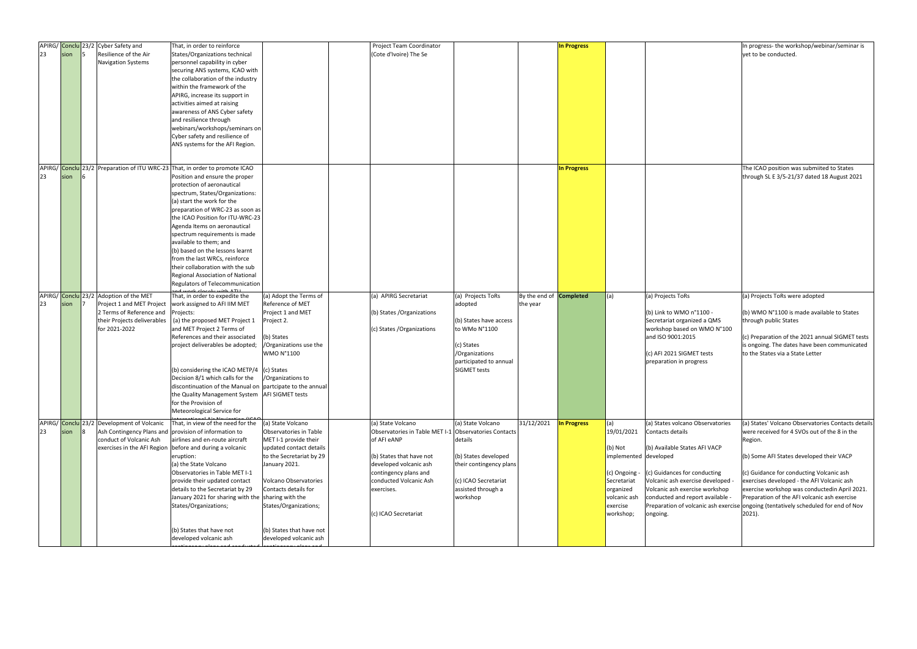| 23 | sion | APIRG/ Conclu 23/2 Cyber Safety and<br>Resilience of the Air<br>Navigation Systems                               | That, in order to reinforce<br>States/Organizations technical<br>personnel capability in cyber<br>securing ANS systems, ICAO with<br>the collaboration of the industry<br>within the framework of the<br>APIRG, increase its support in<br>activities aimed at raising<br>awareness of ANS Cyber safety<br>and resilience through<br>webinars/workshops/seminars on<br>Cyber safety and resilience of<br>ANS systems for the AFI Region.                                                                                                                       |                                                                                                                                                                                                                                                                              | Project Team Coordinator<br>(Cote d'Ivoire) The Se                                                                                                                                                                                       |                                                                                                                                                          |                                            | <b>In Progress</b> |                                                                                                                                               |                                                                                                                                                                                                                                            | In progress- the workshop/webinar/seminar is<br>vet to be conducted.                                                                                                                                                                                                                                                                                                                                                                                 |
|----|------|------------------------------------------------------------------------------------------------------------------|----------------------------------------------------------------------------------------------------------------------------------------------------------------------------------------------------------------------------------------------------------------------------------------------------------------------------------------------------------------------------------------------------------------------------------------------------------------------------------------------------------------------------------------------------------------|------------------------------------------------------------------------------------------------------------------------------------------------------------------------------------------------------------------------------------------------------------------------------|------------------------------------------------------------------------------------------------------------------------------------------------------------------------------------------------------------------------------------------|----------------------------------------------------------------------------------------------------------------------------------------------------------|--------------------------------------------|--------------------|-----------------------------------------------------------------------------------------------------------------------------------------------|--------------------------------------------------------------------------------------------------------------------------------------------------------------------------------------------------------------------------------------------|------------------------------------------------------------------------------------------------------------------------------------------------------------------------------------------------------------------------------------------------------------------------------------------------------------------------------------------------------------------------------------------------------------------------------------------------------|
| 23 | sion |                                                                                                                  | APIRG/ Conclu 23/2 Preparation of ITU WRC-23 That, in order to promote ICAO<br>Position and ensure the proper<br>protection of aeronautical<br>spectrum, States/Organizations:<br>(a) start the work for the<br>preparation of WRC-23 as soon as<br>the ICAO Position for ITU-WRC-23<br>Agenda Items on aeronautical<br>spectrum requirements is made<br>available to them; and<br>(b) based on the lessons learnt<br>from the last WRCs, reinforce<br>their collaboration with the sub<br>Regional Association of National<br>Regulators of Telecommunication |                                                                                                                                                                                                                                                                              |                                                                                                                                                                                                                                          |                                                                                                                                                          |                                            | <b>In Progress</b> |                                                                                                                                               |                                                                                                                                                                                                                                            | The ICAO position was submiited to States<br>through SL E 3/5-21/37 dated 18 August 2021                                                                                                                                                                                                                                                                                                                                                             |
| 23 | sion | APIRG/ Conclu 23/2 Adoption of the MET<br>Project 1 and MET Project<br>2 Terms of Reference and<br>for 2021-2022 | That, in order to expedite the<br>work assigned to AFI IIM MET<br>Projects:<br>their Projects deliverables $ $ (a) the proposed MET Project 1<br>and MET Project 2 Terms of<br>References and their associated<br>project deliverables be adopted;<br>(b) considering the ICAO METP/4 (c) States<br>Decision 8/1 which calls for the<br>discontinuation of the Manual on   partcipate to the annual<br>the Quality Management System   AFI SIGMET tests<br>for the Provision of<br>Meteorological Service for                                                  | (a) Adopt the Terms of<br>Reference of MET<br>Project 1 and MET<br>Project 2.<br>(b) States<br>/Organizations use the<br><b>WMO N°1100</b><br>/Organizations to                                                                                                              | (a) APIRG Secretariat<br>(b) States / Organizations<br>(c) States / Organizations                                                                                                                                                        | (a) Projects ToRs<br>adopted<br>(b) States have access<br>to WMo N°1100<br>(c) States<br>/Organizations<br>participated to annual<br><b>SIGMET tests</b> | By the end of <b>Completed</b><br>the year |                    | (a)                                                                                                                                           | (a) Projects ToRs<br>(b) Link to WMO n°1100 -<br>Secretariat organized a QMS<br>workshop based on WMO N°100<br>and ISO 9001:2015<br>(c) AFI 2021 SIGMET tests<br>preparation in progress                                                   | (a) Projects ToRs were adopted<br>$(6)$ WMO N°1100 is made available to States<br>through public States<br>(c) Preparation of the 2021 annual SIGMET tests<br>is ongoing. The dates have been communicated<br>to the States via a State Letter                                                                                                                                                                                                       |
| 23 | sion | APIRG/ Conclu 23/2 Development of Volcanic<br>conduct of Volcanic Ash                                            | That, in view of the need for the<br>Ash Contingency Plans and provision of information to<br>airlines and en-route aircraft<br>exercises in the AFI Region before and during a volcanic<br>eruption:<br>(a) the State Volcano<br>Observatories in Table MET I-1<br>provide their updated contact<br>details to the Secretariat by 29<br>January 2021 for sharing with the sharing with the<br>States/Organizations;<br>(b) States that have not<br>developed volcanic ash                                                                                     | (a) State Volcano<br>Observatories in Table<br>MET I-1 provide their<br>updated contact details<br>to the Secretariat by 29<br>January 2021.<br>Volcano Observatories<br>Contacts details for<br>States/Organizations;<br>(b) States that have not<br>developed volcanic ash | (a) State Volcano<br>Observatories in Table MET I-1 Observatories Contacts<br>of AFI eANP<br>(b) States that have not<br>developed volcanic ash<br>contingency plans and<br>conducted Volcanic Ash<br>exercises.<br>(c) ICAO Secretariat | (a) State Volcano<br>details<br>(b) States developed<br>their contingency plans<br>(c) ICAO Secretariat<br>assisted through a<br>workshop                | 31/12/2021                                 | <b>In Progress</b> | (a)<br>19/01/2021<br>$(b)$ Not<br>implemented developed<br>(c) Ongoing -<br>Secretariat<br>organized<br>volcanic ash<br>exercise<br>workshop; | (a) States volcano Observatories<br>Contacts details<br>(b) Available States AFI VACP<br>(c) Guidances for conducting<br>Volcanic ash exercise developed<br>Volcanic ash exercise workshop<br>conducted and report available -<br>ongoing. | (a) States' Volcano Observatories Contacts details<br>were received for 4 SVOs out of the 8 in the<br>Region.<br>(b) Some AFI States developed their VACP<br>(c) Guidance for conducting Volcanic ash<br>exercises developed - the AFI Volcanic ash<br>exercise workshop was conductedin April 2021.<br>Preparation of the AFI volcanic ash exercise<br>Preparation of volcanic ash exercise ongoing (tentatively scheduled for end of Nov<br>2021). |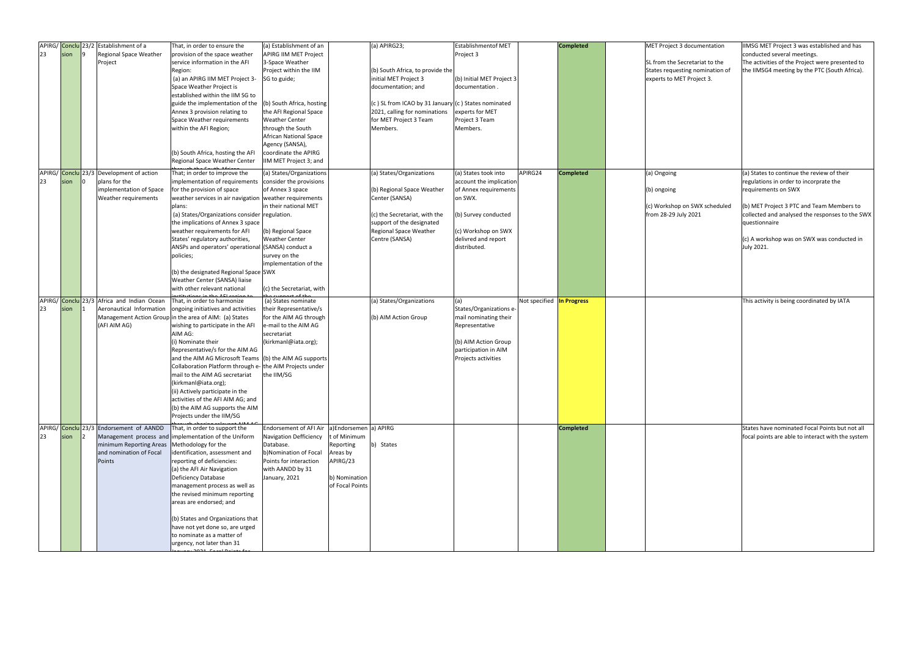| 23 | sion | APIRG/ Conclu 23/2 Establishment of a<br>Regional Space Weather<br>Project                                                    | That, in order to ensure the<br>provision of the space weather<br>service information in the AFI                                                                                                                                                                                                                                                                                                                                                                                                                                                              | (a) Establishment of an<br>APIRG IIM MET Project<br>3-Space Weather                                                                                                                                                                                                                | $(a)$ APIRG23;                                                                                                             | <b>Establishmentof MET</b><br>Project 3                                                                                                          |                           | <b>Completed</b> | MET Project 3 documentation<br>SL from the Secretariat to the                       | IIMSG MET Project 3 was established and has<br>conducted several meetings.<br>The activities of the Project were presented to                                                                               |
|----|------|-------------------------------------------------------------------------------------------------------------------------------|---------------------------------------------------------------------------------------------------------------------------------------------------------------------------------------------------------------------------------------------------------------------------------------------------------------------------------------------------------------------------------------------------------------------------------------------------------------------------------------------------------------------------------------------------------------|------------------------------------------------------------------------------------------------------------------------------------------------------------------------------------------------------------------------------------------------------------------------------------|----------------------------------------------------------------------------------------------------------------------------|--------------------------------------------------------------------------------------------------------------------------------------------------|---------------------------|------------------|-------------------------------------------------------------------------------------|-------------------------------------------------------------------------------------------------------------------------------------------------------------------------------------------------------------|
|    |      |                                                                                                                               | Region:<br>(a) an APIRG IIM MET Project 3-<br>Space Weather Project is<br>established within the IIM SG to                                                                                                                                                                                                                                                                                                                                                                                                                                                    | Project within the IIM<br>SG to guide;                                                                                                                                                                                                                                             | (b) South Africa, to provide the<br>initial MET Project 3<br>documentation; and                                            | (b) Initial MET Project 3<br>documentation.                                                                                                      |                           |                  | States requesting nomination of<br>experts to MET Project 3.                        | the IIMSG4 meeting by the PTC (South Africa).                                                                                                                                                               |
|    |      |                                                                                                                               | guide the implementation of the<br>Annex 3 provision relating to<br>Space Weather requirements<br>within the AFI Region;                                                                                                                                                                                                                                                                                                                                                                                                                                      | (b) South Africa, hosting<br>the AFI Regional Space<br><b>Weather Center</b><br>through the South                                                                                                                                                                                  | (c) SL from ICAO by 31 January (c) States nominated<br>2021, calling for nominations<br>for MET Project 3 Team<br>Members. | experts for MET<br>Project 3 Team<br>Members.                                                                                                    |                           |                  |                                                                                     |                                                                                                                                                                                                             |
|    |      |                                                                                                                               | (b) South Africa, hosting the AFI<br>Regional Space Weather Center                                                                                                                                                                                                                                                                                                                                                                                                                                                                                            | African National Space<br>Agency (SANSA),<br>coordinate the APIRG<br>IIM MET Project 3; and                                                                                                                                                                                        |                                                                                                                            |                                                                                                                                                  |                           |                  |                                                                                     |                                                                                                                                                                                                             |
| 23 | sion | APIRG/ Conclu 23/3 Development of action<br>plans for the<br>implementation of Space<br>Weather requirements                  | That; in order to improve the<br>implementation of requirements<br>for the provision of space<br>weather services in air navigation weather requirements<br>plans:<br>(a) States/Organizations consider regulation.                                                                                                                                                                                                                                                                                                                                           | (a) States/Organizations<br>consider the provisions<br>of Annex 3 space<br>in their national MET                                                                                                                                                                                   | (a) States/Organizations<br>(b) Regional Space Weather<br>Center (SANSA)<br>(c) the Secretariat, with the                  | (a) States took into<br>account the implication<br>of Annex requirements<br>on SWX.<br>(b) Survey conducted                                      | APIRG24                   | <b>Completed</b> | (a) Ongoing<br>(b) ongoing<br>(c) Workshop on SWX scheduled<br>from 28-29 July 2021 | (a) States to continue the review of their<br>regulations in order to incorprate the<br>requirements on SWX<br>(b) MET Project 3 PTC and Team Members to<br>collected and analysed the responses to the SWX |
|    |      |                                                                                                                               | the implications of Annex 3 space<br>weather requirements for AFI<br>States' regulatory authorities,<br>ANSPs and operators' operational (SANSA) conduct a<br>policies;                                                                                                                                                                                                                                                                                                                                                                                       | (b) Regional Space<br><b>Weather Center</b><br>survey on the<br>implementation of the                                                                                                                                                                                              | support of the designated<br><b>Regional Space Weather</b><br>Centre (SANSA)                                               | (c) Workshop on SWX<br>delivred and report<br>distributed.                                                                                       |                           |                  |                                                                                     | questionnaire<br>$(c)$ A workshop was on SWX was conducted in<br>July 2021.                                                                                                                                 |
|    |      |                                                                                                                               | (b) the designated Regional Space SWX<br>Weather Center (SANSA) liaise<br>with other relevant national                                                                                                                                                                                                                                                                                                                                                                                                                                                        | (c) the Secretariat, with                                                                                                                                                                                                                                                          |                                                                                                                            |                                                                                                                                                  |                           |                  |                                                                                     |                                                                                                                                                                                                             |
| 23 | sion | APIRG/ Conclu 23/3 Africa and Indian Ocean<br>Aeronautical Information<br>(AFI AIM AG)                                        | That, in order to harmonize<br>ongoing initiatives and activities<br>Management Action Group in the area of AIM: (a) States<br>wishing to participate in the AFI<br>AIM AG:<br>(i) Nominate their<br>Representative/s for the AIM AG<br>and the AIM AG Microsoft Teams (b) the AIM AG supports<br>Collaboration Platform through e- the AIM Projects under<br>mail to the AIM AG secretariat<br>(kirkmanl@iata.org);<br>(ii) Actively participate in the<br>activities of the AFI AIM AG; and<br>(b) the AIM AG supports the AIM<br>Projects under the IIM/SG | (a) States nominate<br>their Representative/s<br>for the AIM AG through<br>e-mail to the AIM AG<br>secretariat<br>(kirkmanl@iata.org);<br>the IIM/SG                                                                                                                               | (a) States/Organizations<br>(b) AIM Action Group                                                                           | (a)<br>States/Organizations e-<br>mail nominating their<br>Representative<br>(b) AIM Action Group<br>participation in AIM<br>Projects activities | Not specified In Progress |                  |                                                                                     | This activity is being coordinated by IATA                                                                                                                                                                  |
| 23 | sion | APIRG/ Conclu 23/3 Endorsement of AANDD<br>minimum Reporting Areas   Methodology for the<br>and nomination of Focal<br>Points | That, in order to support the<br>Management process and implementation of the Uniform<br>identification, assessment and<br>reporting of deficiencies:<br>(a) the AFI Air Navigation<br>Deficiency Database<br>management process as well as<br>the revised minimum reporting<br>areas are endorsed; and                                                                                                                                                                                                                                                       | Endorsement of AFI Air $ a $ Endorsemen $ a $ APIRG<br><b>Navigation Defficiency</b><br>t of Minimum<br>Database.<br>Reporting<br>b)Nomination of Focal<br>Areas by<br>APIRG/23<br>Points for interaction<br>with AANDD by 31<br>January, 2021<br>b) Nomination<br>of Focal Points | b) States                                                                                                                  |                                                                                                                                                  |                           | <b>Completed</b> |                                                                                     | States have nominated Focal Points but not all<br>focal points are able to interact with the system                                                                                                         |
|    |      |                                                                                                                               | (b) States and Organizations that<br>have not yet done so, are urged<br>to nominate as a matter of<br>urgency, not later than 31                                                                                                                                                                                                                                                                                                                                                                                                                              |                                                                                                                                                                                                                                                                                    |                                                                                                                            |                                                                                                                                                  |                           |                  |                                                                                     |                                                                                                                                                                                                             |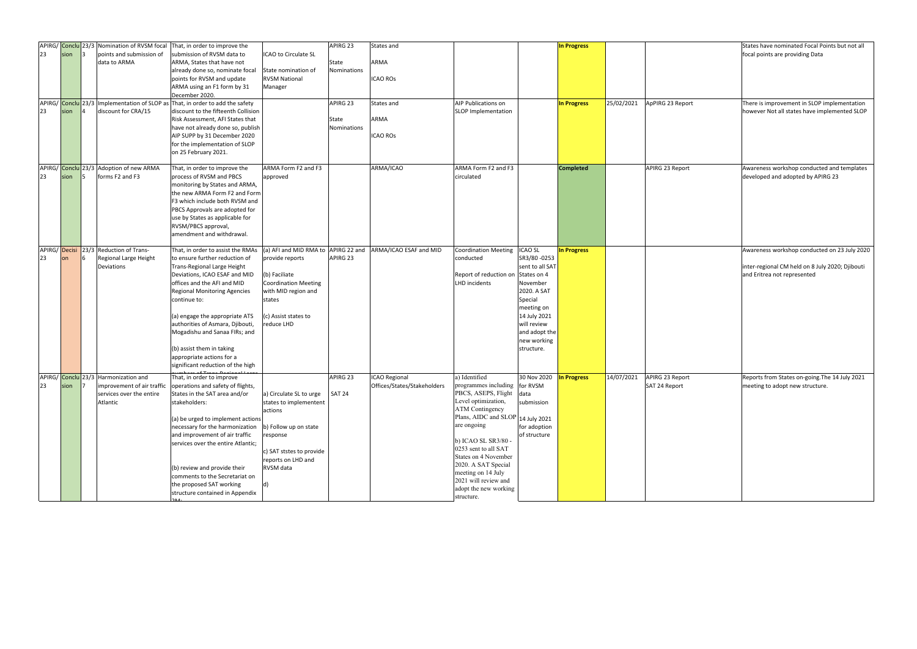|    |               | APIRG/ Conclu 23/3 Nomination of RVSM focal  | That, in order to improve the                                   |                             | APIRG 23      | <b>States and</b>                                 |                                   |                                | In Progress        |            |                  | States have |
|----|---------------|----------------------------------------------|-----------------------------------------------------------------|-----------------------------|---------------|---------------------------------------------------|-----------------------------------|--------------------------------|--------------------|------------|------------------|-------------|
| 23 | sion          | points and submission of                     | submission of RVSM data to                                      | ICAO to Circulate SL        |               |                                                   |                                   |                                |                    |            |                  | focal point |
|    |               | data to ARMA                                 | ARMA, States that have not                                      |                             | State         | ARMA                                              |                                   |                                |                    |            |                  |             |
|    |               |                                              | already done so, nominate focal                                 | State nomination of         | Nominations   |                                                   |                                   |                                |                    |            |                  |             |
|    |               |                                              | points for RVSM and update                                      | <b>RVSM National</b>        |               | <b>ICAO ROS</b>                                   |                                   |                                |                    |            |                  |             |
|    |               |                                              | ARMA using an F1 form by 31                                     | Manager                     |               |                                                   |                                   |                                |                    |            |                  |             |
|    |               |                                              | December 2020.                                                  |                             |               |                                                   |                                   |                                |                    |            |                  |             |
|    |               | APIRG/ Conclu 23/3 Implementation of SLOP as | That, in order to add the safety                                |                             | APIRG 23      | States and                                        | <b>AIP Publications on</b>        |                                | <b>In Progress</b> | 25/02/2021 | ApPIRG 23 Report | There is im |
| 23 | sion          | discount for CRA/15                          | discount to the fifteenth Collision                             |                             |               |                                                   | SLOP Implementation               |                                |                    |            |                  | however N   |
|    |               |                                              | Risk Assessment, AFI States that                                |                             | State         | ARMA                                              |                                   |                                |                    |            |                  |             |
|    |               |                                              | have not already done so, publish                               |                             | Nominations   |                                                   |                                   |                                |                    |            |                  |             |
|    |               |                                              | AIP SUPP by 31 December 2020                                    |                             |               | <b>ICAO ROS</b>                                   |                                   |                                |                    |            |                  |             |
|    |               |                                              | for the implementation of SLOP                                  |                             |               |                                                   |                                   |                                |                    |            |                  |             |
|    |               |                                              | on 25 February 2021.                                            |                             |               |                                                   |                                   |                                |                    |            |                  |             |
|    |               |                                              |                                                                 |                             |               |                                                   |                                   |                                |                    |            |                  |             |
|    |               | APIRG/ Conclu 23/3 Adoption of new ARMA      | That, in order to improve the                                   | ARMA Form F2 and F3         |               | ARMA/ICAO                                         | ARMA Form F2 and F3               |                                | <b>Completed</b>   |            | APIRG 23 Report  | Awareness   |
| 23 | sion          | forms F2 and F3                              | process of RVSM and PBCS                                        | approved                    |               |                                                   | circulated                        |                                |                    |            |                  | developed   |
|    |               |                                              |                                                                 |                             |               |                                                   |                                   |                                |                    |            |                  |             |
|    |               |                                              | monitoring by States and ARMA,<br>the new ARMA Form F2 and Form |                             |               |                                                   |                                   |                                |                    |            |                  |             |
|    |               |                                              | F3 which include both RVSM and                                  |                             |               |                                                   |                                   |                                |                    |            |                  |             |
|    |               |                                              |                                                                 |                             |               |                                                   |                                   |                                |                    |            |                  |             |
|    |               |                                              | PBCS Approvals are adopted for                                  |                             |               |                                                   |                                   |                                |                    |            |                  |             |
|    |               |                                              | use by States as applicable for                                 |                             |               |                                                   |                                   |                                |                    |            |                  |             |
|    |               |                                              | RVSM/PBCS approval,                                             |                             |               |                                                   |                                   |                                |                    |            |                  |             |
|    |               |                                              | amendment and withdrawal.                                       |                             |               |                                                   |                                   |                                |                    |            |                  |             |
|    |               |                                              |                                                                 |                             |               |                                                   |                                   |                                |                    |            |                  |             |
|    | APIRG/ Decisi | 23/3 Reduction of Trans-                     | That, in order to assist the RMAs                               | (a) AFI and MID RMA to      | APIRG 22 and  | ARMA/ICAO ESAF and MID                            | <b>Coordination Meeting</b>       | <b>ICAO SL</b>                 | <b>In Progress</b> |            |                  | Awareness   |
| 23 | <b>on</b>     | Regional Large Height                        | to ensure further reduction of                                  | provide reports             | APIRG 23      |                                                   | conducted                         | SR3/80-0253                    |                    |            |                  |             |
|    |               | Deviations                                   | Trans-Regional Large Height                                     |                             |               |                                                   |                                   | sent to all SAT                |                    |            |                  | inter-regio |
|    |               |                                              | Deviations, ICAO ESAF and MID                                   | (b) Faciliate               |               |                                                   | Report of reduction on            | States on 4                    |                    |            |                  | and Eritrea |
|    |               |                                              | offices and the AFI and MID                                     | <b>Coordination Meeting</b> |               |                                                   | <b>LHD</b> incidents              | November                       |                    |            |                  |             |
|    |               |                                              | <b>Regional Monitoring Agencies</b>                             | with MID region and         |               |                                                   |                                   | 2020. A SAT                    |                    |            |                  |             |
|    |               |                                              | continue to:                                                    | states                      |               |                                                   |                                   | Special                        |                    |            |                  |             |
|    |               |                                              |                                                                 |                             |               |                                                   |                                   | meeting on                     |                    |            |                  |             |
|    |               |                                              | (a) engage the appropriate ATS                                  | (c) Assist states to        |               |                                                   |                                   | 14 July 2021                   |                    |            |                  |             |
|    |               |                                              | authorities of Asmara, Djibouti,                                | reduce LHD                  |               |                                                   |                                   | will review                    |                    |            |                  |             |
|    |               |                                              | Mogadishu and Sanaa FIRs; and                                   |                             |               |                                                   |                                   | and adopt the                  |                    |            |                  |             |
|    |               |                                              |                                                                 |                             |               |                                                   |                                   | new working                    |                    |            |                  |             |
|    |               |                                              | (b) assist them in taking                                       |                             |               |                                                   |                                   | structure.                     |                    |            |                  |             |
|    |               |                                              | appropriate actions for a                                       |                             |               |                                                   |                                   |                                |                    |            |                  |             |
|    |               |                                              | significant reduction of the high                               |                             |               |                                                   |                                   |                                |                    |            |                  |             |
|    |               | APIRG/ Conclu 23/3 Harmonization and         | That, in order to improve                                       |                             | APIRG 23      | <b>ICAO Regional</b>                              | a) Identified                     | 30 Nov 2020 <b>In Progress</b> |                    | 14/07/2021 | APIRG 23 Report  | Reports fro |
| 23 | sion $ 7 $    | improvement of air traffic                   | operations and safety of flights,                               |                             |               | Offices/States/Stakeholders  programmes including |                                   | for RVSM                       |                    |            | SAT 24 Report    | meeting to  |
|    |               | services over the entire                     | States in the SAT area and/or                                   | a) Circulate SL to urge     | <b>SAT 24</b> |                                                   | PBCS, ASEPS, Flight data          |                                |                    |            |                  |             |
|    |               | Atlantic                                     | stakeholders:                                                   | states to implementent      |               |                                                   | Level optimization,               | submission                     |                    |            |                  |             |
|    |               |                                              |                                                                 |                             |               |                                                   | <b>ATM Contingency</b>            |                                |                    |            |                  |             |
|    |               |                                              |                                                                 | actions                     |               |                                                   | Plans, AIDC and SLOP 14 July 2021 |                                |                    |            |                  |             |
|    |               |                                              | (a) be urged to implement actions                               |                             |               |                                                   | are ongoing                       |                                |                    |            |                  |             |
|    |               |                                              | necessary for the harmonization                                 | b) Follow up on state       |               |                                                   |                                   | for adoption                   |                    |            |                  |             |
|    |               |                                              | and improvement of air traffic                                  | response                    |               |                                                   | b) ICAO SL SR3/80 -               | of structure                   |                    |            |                  |             |
|    |               |                                              | services over the entire Atlantic;                              |                             |               |                                                   | 0253 sent to all SAT              |                                |                    |            |                  |             |
|    |               |                                              |                                                                 | c) SAT ststes to provide    |               |                                                   | States on 4 November              |                                |                    |            |                  |             |
|    |               |                                              |                                                                 | reports on LHD and          |               |                                                   | 2020. A SAT Special               |                                |                    |            |                  |             |
|    |               |                                              | (b) review and provide their                                    | RVSM data                   |               |                                                   | meeting on 14 July                |                                |                    |            |                  |             |
|    |               |                                              | comments to the Secretariat on                                  |                             |               |                                                   | 2021 will review and              |                                |                    |            |                  |             |
|    |               |                                              | the proposed SAT working                                        | ld)                         |               |                                                   | adopt the new working             |                                |                    |            |                  |             |
|    |               |                                              | structure contained in Appendix                                 |                             |               |                                                   | structure.                        |                                |                    |            |                  |             |
|    |               |                                              |                                                                 |                             |               |                                                   |                                   |                                |                    |            |                  |             |

| <b>In Progress</b> |            |                                  | States have nominated Focal Points but not all<br>focal points are providing Data                                              |
|--------------------|------------|----------------------------------|--------------------------------------------------------------------------------------------------------------------------------|
| <b>In Progress</b> | 25/02/2021 | ApPIRG 23 Report                 | There is improvement in SLOP implementation<br>however Not all states have implemented SLOP                                    |
| <b>Completed</b>   |            | APIRG 23 Report                  | Awareness workshop conducted and templates<br>developed and adopted by APIRG 23                                                |
| <b>In Progress</b> |            |                                  | Awareness workshop conducted on 23 July 2020<br>inter-regional CM held on 8 July 2020; Djibouti<br>and Eritrea not represented |
| <b>In Progress</b> | 14/07/2021 | APIRG 23 Report<br>SAT 24 Report | Reports from States on-going. The 14 July 2021<br>meeting to adopt new structure.                                              |